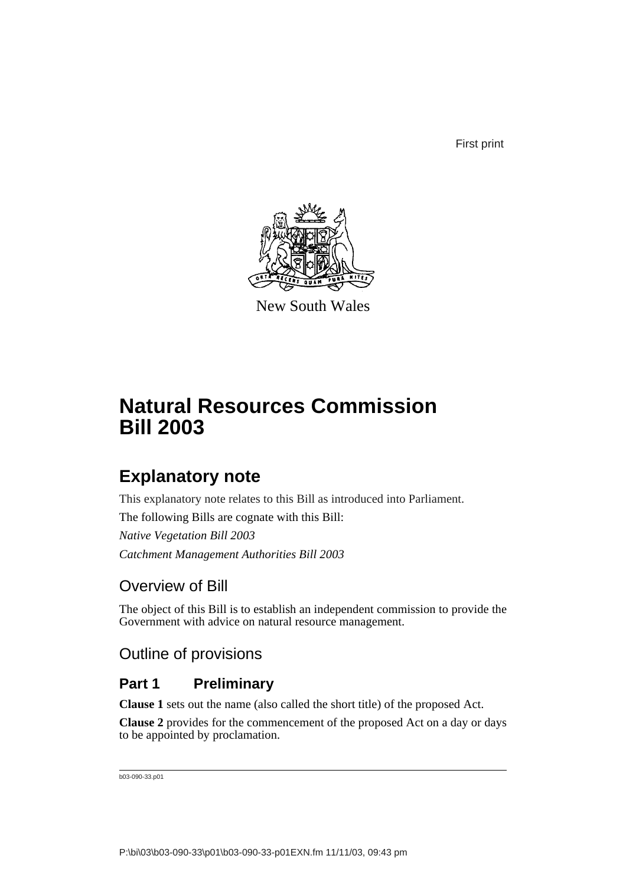First print



New South Wales

# **Natural Resources Commission Bill 2003**

# **Explanatory note**

This explanatory note relates to this Bill as introduced into Parliament.

The following Bills are cognate with this Bill:

*Native Vegetation Bill 2003 Catchment Management Authorities Bill 2003*

# Overview of Bill

The object of this Bill is to establish an independent commission to provide the Government with advice on natural resource management.

# Outline of provisions

# **Part 1 Preliminary**

**Clause 1** sets out the name (also called the short title) of the proposed Act.

**Clause 2** provides for the commencement of the proposed Act on a day or days to be appointed by proclamation.

b03-090-33.p01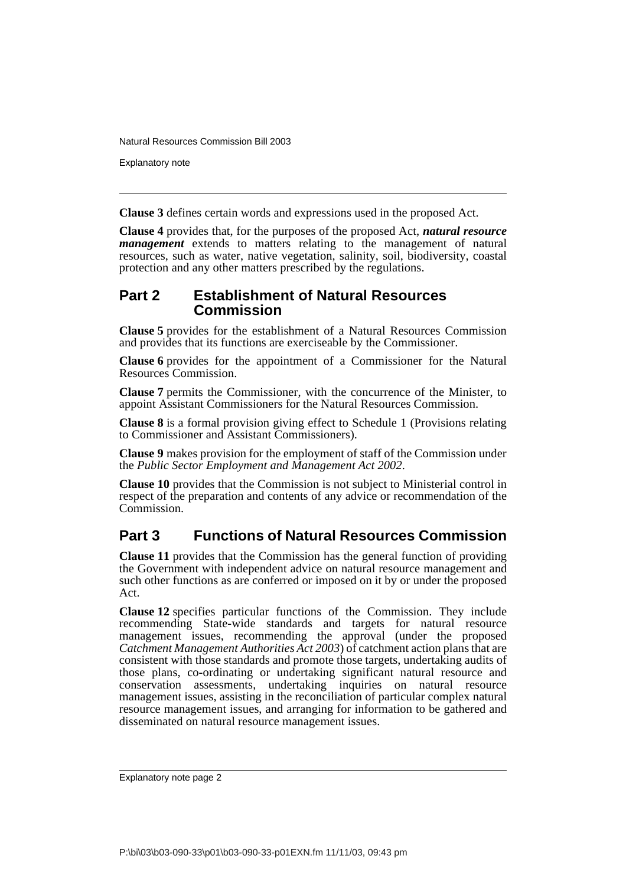Explanatory note

**Clause 3** defines certain words and expressions used in the proposed Act.

**Clause 4** provides that, for the purposes of the proposed Act, *natural resource management* extends to matters relating to the management of natural resources, such as water, native vegetation, salinity, soil, biodiversity, coastal protection and any other matters prescribed by the regulations.

## **Part 2 Establishment of Natural Resources Commission**

**Clause 5** provides for the establishment of a Natural Resources Commission and provides that its functions are exerciseable by the Commissioner.

**Clause 6** provides for the appointment of a Commissioner for the Natural Resources Commission.

**Clause 7** permits the Commissioner, with the concurrence of the Minister, to appoint Assistant Commissioners for the Natural Resources Commission.

**Clause 8** is a formal provision giving effect to Schedule 1 (Provisions relating to Commissioner and Assistant Commissioners).

**Clause 9** makes provision for the employment of staff of the Commission under the *Public Sector Employment and Management Act 2002*.

**Clause 10** provides that the Commission is not subject to Ministerial control in respect of the preparation and contents of any advice or recommendation of the Commission.

# **Part 3 Functions of Natural Resources Commission**

**Clause 11** provides that the Commission has the general function of providing the Government with independent advice on natural resource management and such other functions as are conferred or imposed on it by or under the proposed Act.

**Clause 12** specifies particular functions of the Commission. They include recommending State-wide standards and targets for natural resource management issues, recommending the approval (under the proposed *Catchment Management Authorities Act 2003*) of catchment action plans that are consistent with those standards and promote those targets, undertaking audits of those plans, co-ordinating or undertaking significant natural resource and conservation assessments, undertaking inquiries on natural resource management issues, assisting in the reconciliation of particular complex natural resource management issues, and arranging for information to be gathered and disseminated on natural resource management issues.

Explanatory note page 2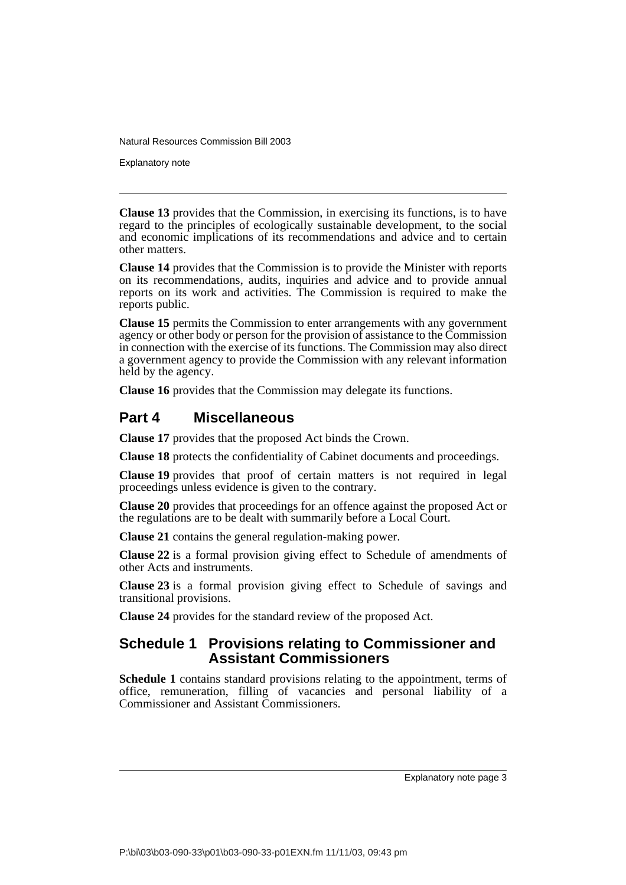Explanatory note

**Clause 13** provides that the Commission, in exercising its functions, is to have regard to the principles of ecologically sustainable development, to the social and economic implications of its recommendations and advice and to certain other matters.

**Clause 14** provides that the Commission is to provide the Minister with reports on its recommendations, audits, inquiries and advice and to provide annual reports on its work and activities. The Commission is required to make the reports public.

**Clause 15** permits the Commission to enter arrangements with any government agency or other body or person for the provision of assistance to the Commission in connection with the exercise of its functions. The Commission may also direct a government agency to provide the Commission with any relevant information held by the agency.

**Clause 16** provides that the Commission may delegate its functions.

# **Part 4 Miscellaneous**

**Clause 17** provides that the proposed Act binds the Crown.

**Clause 18** protects the confidentiality of Cabinet documents and proceedings.

**Clause 19** provides that proof of certain matters is not required in legal proceedings unless evidence is given to the contrary.

**Clause 20** provides that proceedings for an offence against the proposed Act or the regulations are to be dealt with summarily before a Local Court.

**Clause 21** contains the general regulation-making power.

**Clause 22** is a formal provision giving effect to Schedule of amendments of other Acts and instruments.

**Clause 23** is a formal provision giving effect to Schedule of savings and transitional provisions.

**Clause 24** provides for the standard review of the proposed Act.

# **Schedule 1 Provisions relating to Commissioner and Assistant Commissioners**

**Schedule 1** contains standard provisions relating to the appointment, terms of office, remuneration, filling of vacancies and personal liability of a Commissioner and Assistant Commissioners.

Explanatory note page 3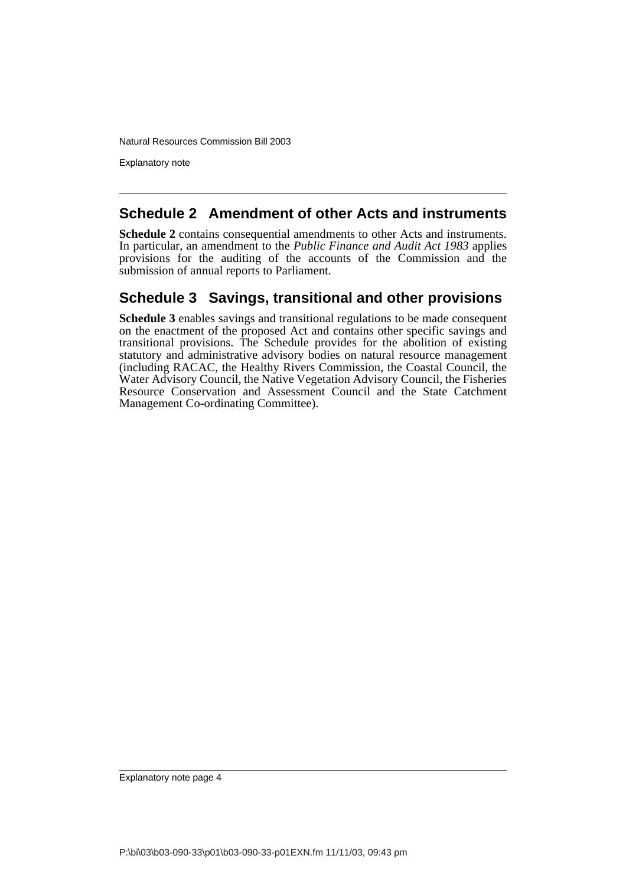Explanatory note

# **Schedule 2 Amendment of other Acts and instruments**

**Schedule 2** contains consequential amendments to other Acts and instruments. In particular, an amendment to the *Public Finance and Audit Act 1983* applies provisions for the auditing of the accounts of the Commission and the submission of annual reports to Parliament.

# **Schedule 3 Savings, transitional and other provisions**

**Schedule 3** enables savings and transitional regulations to be made consequent on the enactment of the proposed Act and contains other specific savings and transitional provisions. The Schedule provides for the abolition of existing statutory and administrative advisory bodies on natural resource management (including RACAC, the Healthy Rivers Commission, the Coastal Council, the Water Advisory Council, the Native Vegetation Advisory Council, the Fisheries Resource Conservation and Assessment Council and the State Catchment Management Co-ordinating Committee).

Explanatory note page 4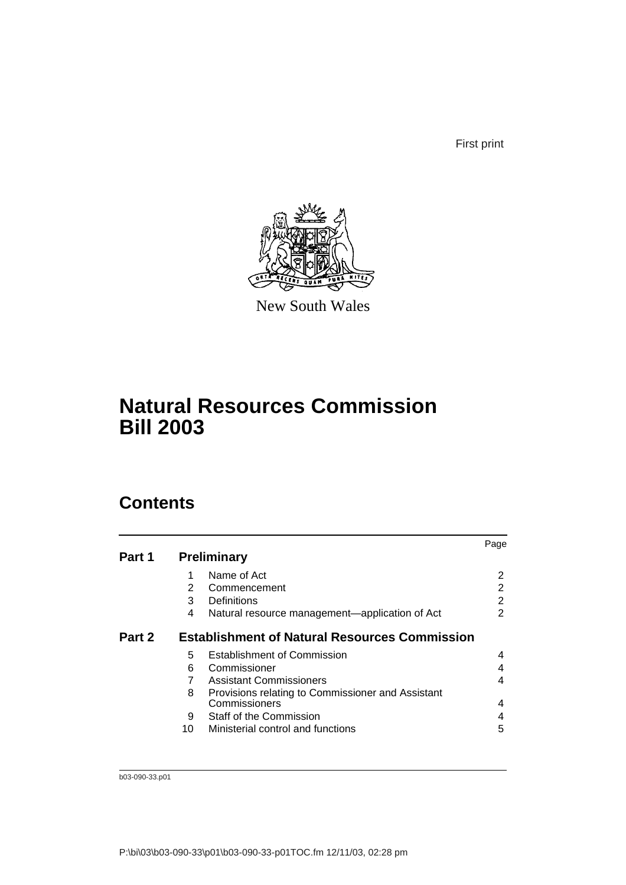First print



New South Wales

# **Natural Resources Commission Bill 2003**

# **Contents**

|        |    |                                                      | Page |
|--------|----|------------------------------------------------------|------|
| Part 1 |    | <b>Preliminary</b>                                   |      |
|        | 1  | Name of Act                                          | 2    |
|        | 2  | Commencement                                         | 2    |
|        | 3  | Definitions                                          | 2    |
|        | 4  | Natural resource management—application of Act       | 2    |
| Part 2 |    | <b>Establishment of Natural Resources Commission</b> |      |
|        | 5  | <b>Establishment of Commission</b>                   | 4    |
|        | 6  | Commissioner                                         |      |
|        | 7  | Assistant Commissioners                              | 4    |
|        | 8  | Provisions relating to Commissioner and Assistant    |      |
|        |    | Commissioners                                        | 4    |
|        | 9  | Staff of the Commission                              | 4    |
|        | 10 | Ministerial control and functions                    | 5    |
|        |    |                                                      |      |

b03-090-33.p01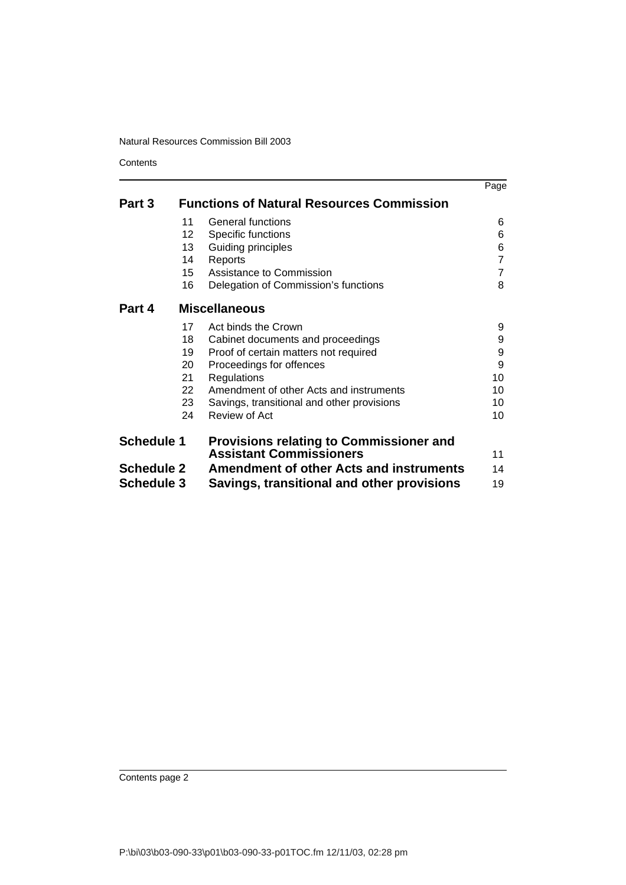**Contents** 

|                   |    |                                                  | Page |
|-------------------|----|--------------------------------------------------|------|
| Part 3            |    | <b>Functions of Natural Resources Commission</b> |      |
|                   | 11 | General functions                                | 6    |
|                   | 12 | Specific functions                               | 6    |
|                   | 13 | Guiding principles                               | 6    |
|                   | 14 | Reports                                          | 7    |
|                   | 15 | Assistance to Commission                         | 7    |
|                   | 16 | Delegation of Commission's functions             | 8    |
| Part 4            |    | <b>Miscellaneous</b>                             |      |
|                   | 17 | Act binds the Crown                              | 9    |
|                   | 18 | Cabinet documents and proceedings                | 9    |
|                   | 19 | Proof of certain matters not required            | 9    |
|                   | 20 | Proceedings for offences                         | 9    |
|                   | 21 | Regulations                                      | 10   |
|                   | 22 | Amendment of other Acts and instruments          | 10   |
|                   | 23 | Savings, transitional and other provisions       | 10   |
|                   | 24 | Review of Act                                    | 10   |
| <b>Schedule 1</b> |    | <b>Provisions relating to Commissioner and</b>   |      |
|                   |    | <b>Assistant Commissioners</b>                   | 11   |
| <b>Schedule 2</b> |    | <b>Amendment of other Acts and instruments</b>   | 14   |
| <b>Schedule 3</b> |    | Savings, transitional and other provisions       | 19   |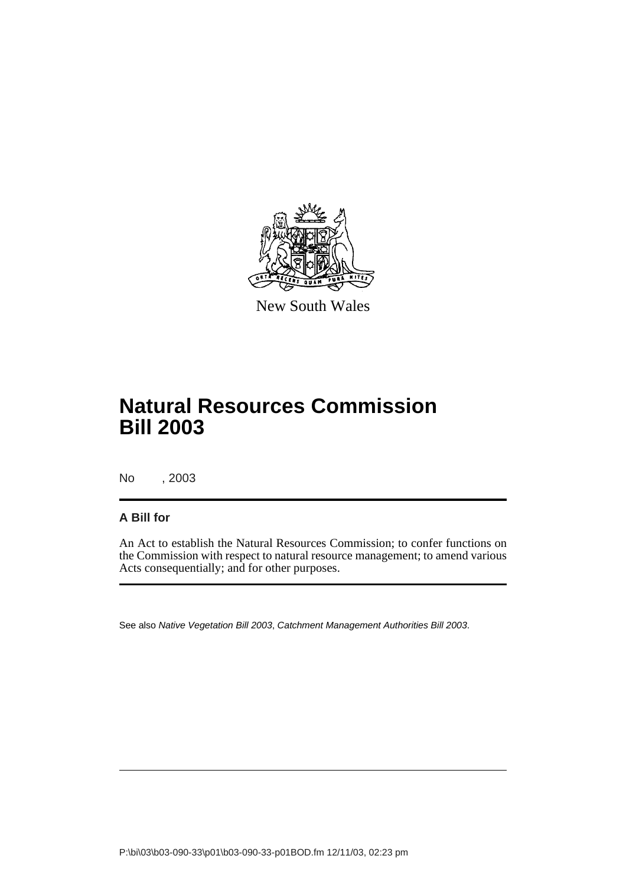

New South Wales

# **Natural Resources Commission Bill 2003**

No , 2003

### **A Bill for**

An Act to establish the Natural Resources Commission; to confer functions on the Commission with respect to natural resource management; to amend various Acts consequentially; and for other purposes.

See also Native Vegetation Bill 2003, Catchment Management Authorities Bill 2003.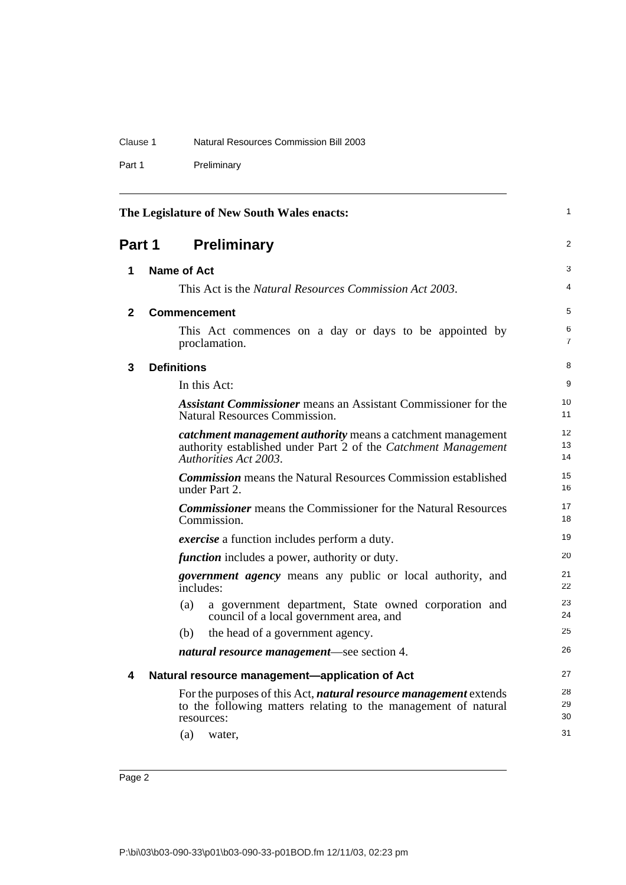### Clause 1 Natural Resources Commission Bill 2003

Part 1 Preliminary

<span id="page-7-4"></span><span id="page-7-3"></span><span id="page-7-2"></span><span id="page-7-1"></span><span id="page-7-0"></span>

|              | The Legislature of New South Wales enacts:                                                                                                                                | 1                    |
|--------------|---------------------------------------------------------------------------------------------------------------------------------------------------------------------------|----------------------|
| Part 1       | <b>Preliminary</b>                                                                                                                                                        | 2                    |
| 1            | Name of Act                                                                                                                                                               | 3                    |
|              | This Act is the <i>Natural Resources Commission Act 2003</i> .                                                                                                            | 4                    |
| $\mathbf{2}$ | <b>Commencement</b>                                                                                                                                                       | 5                    |
|              | This Act commences on a day or days to be appointed by<br>proclamation.                                                                                                   | 6<br>$\overline{7}$  |
| 3            | <b>Definitions</b>                                                                                                                                                        | 8                    |
|              | In this Act:                                                                                                                                                              | 9                    |
|              | <b>Assistant Commissioner</b> means an Assistant Commissioner for the<br><b>Natural Resources Commission.</b>                                                             | 10<br>11             |
|              | catchment management authority means a catchment management<br>authority established under Part 2 of the Catchment Management<br>Authorities Act 2003.                    | 12<br>13<br>14       |
|              | <b>Commission</b> means the Natural Resources Commission established<br>under Part 2.                                                                                     | 15<br>16             |
|              | <b>Commissioner</b> means the Commissioner for the Natural Resources<br>Commission.                                                                                       | 17<br>18             |
|              | <i>exercise</i> a function includes perform a duty.                                                                                                                       | 19                   |
|              | <i>function</i> includes a power, authority or duty.                                                                                                                      | 20                   |
|              | <i>government agency</i> means any public or local authority, and<br>includes:                                                                                            | 21<br>22             |
|              | (a)<br>a government department, State owned corporation and<br>council of a local government area, and                                                                    | 23<br>24             |
|              | (b)<br>the head of a government agency.                                                                                                                                   | 25                   |
|              | <i>natural resource management—see section 4.</i>                                                                                                                         | 26                   |
| 4            | Natural resource management-application of Act                                                                                                                            | 27                   |
|              | For the purposes of this Act, <i>natural resource management</i> extends<br>to the following matters relating to the management of natural<br>resources:<br>(a)<br>water, | 28<br>29<br>30<br>31 |
|              |                                                                                                                                                                           |                      |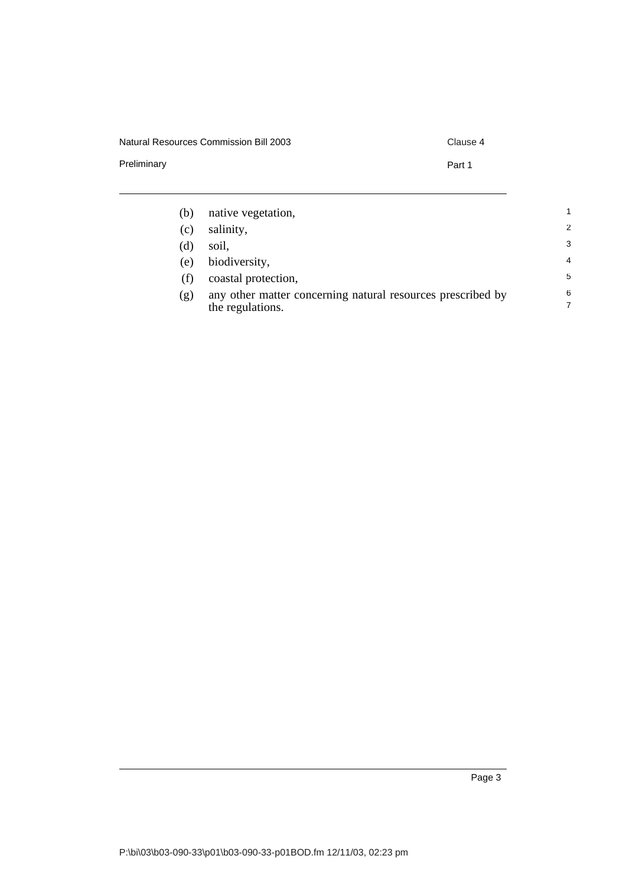### Natural Resources Commission Bill 2003 Clause 4

Preliminary **Part 1** 

| (b) | native vegetation,                                                              | 1              |
|-----|---------------------------------------------------------------------------------|----------------|
| (c) | salinity,                                                                       | $\mathcal{P}$  |
| (d) | soil,                                                                           | 3              |
| (e) | biodiversity,                                                                   | $\overline{4}$ |
|     | coastal protection,                                                             | 5              |
| (g) | any other matter concerning natural resources prescribed by<br>the regulations. | 6<br>7         |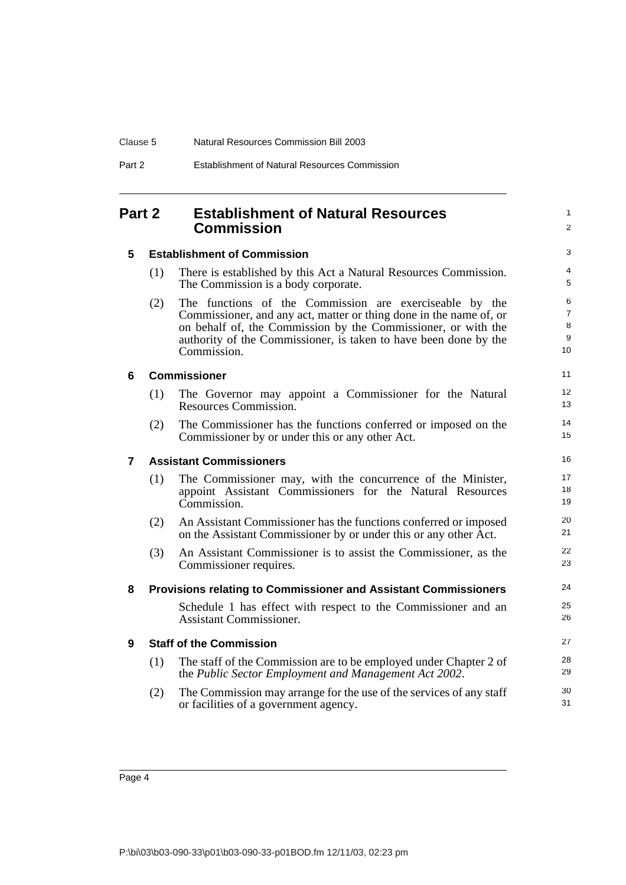<span id="page-9-1"></span>**5 Establishment of Commission**

# <span id="page-9-0"></span>**Part 2 Establishment of Natural Resources Commission**

# $\mathfrak{p}$ 3

24 25 26

1

- (1) There is established by this Act a Natural Resources Commission. The Commission is a body corporate.
- (2) The functions of the Commission are exerciseable by the Commissioner, and any act, matter or thing done in the name of, or on behalf of, the Commission by the Commissioner, or with the authority of the Commissioner, is taken to have been done by the Commission.

### <span id="page-9-2"></span>**6 Commissioner**

- (1) The Governor may appoint a Commissioner for the Natural Resources Commission.
- (2) The Commissioner has the functions conferred or imposed on the Commissioner by or under this or any other Act.

### <span id="page-9-3"></span>**7 Assistant Commissioners**

- (1) The Commissioner may, with the concurrence of the Minister, appoint Assistant Commissioners for the Natural Resources Commission.
- (2) An Assistant Commissioner has the functions conferred or imposed on the Assistant Commissioner by or under this or any other Act.
- (3) An Assistant Commissioner is to assist the Commissioner, as the Commissioner requires.

## <span id="page-9-4"></span>**8 Provisions relating to Commissioner and Assistant Commissioners**

Schedule 1 has effect with respect to the Commissioner and an Assistant Commissioner.

### <span id="page-9-5"></span>**9 Staff of the Commission**

- (1) The staff of the Commission are to be employed under Chapter 2 of the *Public Sector Employment and Management Act 2002*.
- (2) The Commission may arrange for the use of the services of any staff or facilities of a government agency.

|--|--|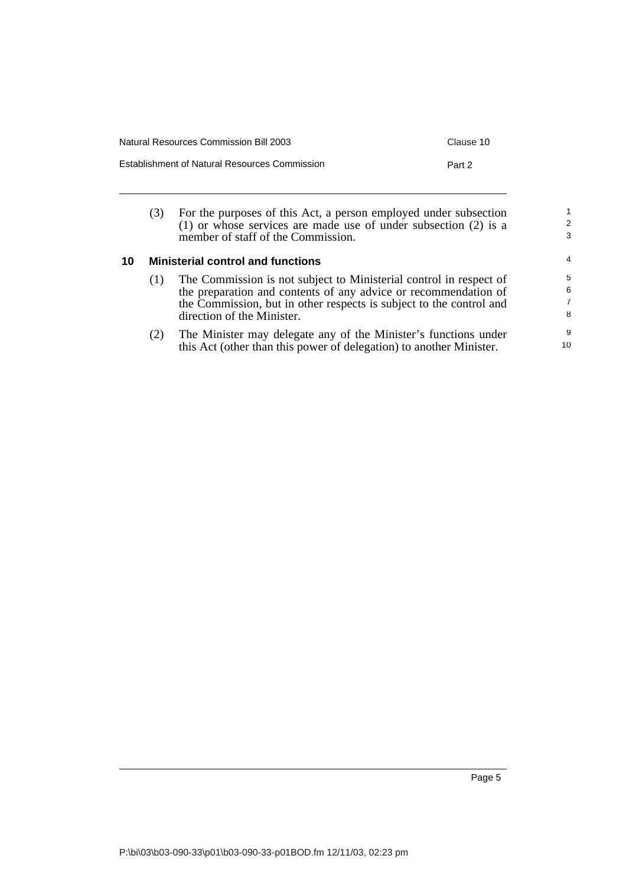| <b>Natural Resources Commission Bill 2003</b>        | Clause 10 |
|------------------------------------------------------|-----------|
| <b>Establishment of Natural Resources Commission</b> | Part 2    |

(3) For the purposes of this Act, a person employed under subsection (1) or whose services are made use of under subsection (2) is a member of staff of the Commission.

### <span id="page-10-0"></span>**10 Ministerial control and functions**

- (1) The Commission is not subject to Ministerial control in respect of the preparation and contents of any advice or recommendation of the Commission, but in other respects is subject to the control and direction of the Minister.
- (2) The Minister may delegate any of the Minister's functions under this Act (other than this power of delegation) to another Minister.

1 2 3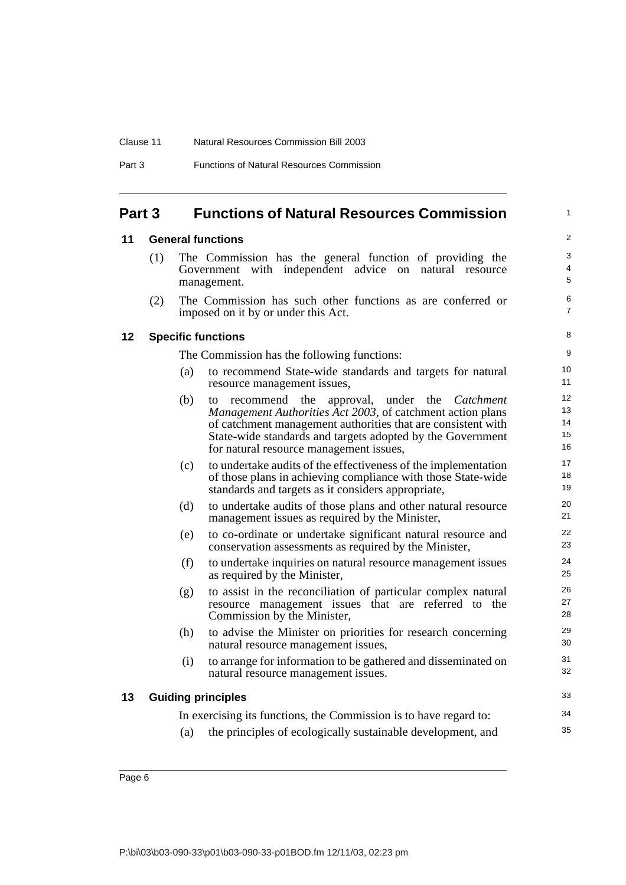#### Clause 11 Natural Resources Commission Bill 2003

| Part 3 | <b>Functions of Natural Resources Commission</b> |  |
|--------|--------------------------------------------------|--|
|        |                                                  |  |

## <span id="page-11-0"></span>**Part 3 Functions of Natural Resources Commission**

#### <span id="page-11-1"></span>**11 General functions**

(1) The Commission has the general function of providing the Government with independent advice on natural resource management.

1

33 34 35

(2) The Commission has such other functions as are conferred or imposed on it by or under this Act.

#### <span id="page-11-2"></span>**12 Specific functions**

The Commission has the following functions:

- (a) to recommend State-wide standards and targets for natural resource management issues,
- (b) to recommend the approval, under the *Catchment Management Authorities Act 2003*, of catchment action plans of catchment management authorities that are consistent with State-wide standards and targets adopted by the Government for natural resource management issues,
- (c) to undertake audits of the effectiveness of the implementation of those plans in achieving compliance with those State-wide standards and targets as it considers appropriate,
- (d) to undertake audits of those plans and other natural resource management issues as required by the Minister,
- (e) to co-ordinate or undertake significant natural resource and conservation assessments as required by the Minister,
- (f) to undertake inquiries on natural resource management issues as required by the Minister,
- (g) to assist in the reconciliation of particular complex natural resource management issues that are referred to the Commission by the Minister,
- (h) to advise the Minister on priorities for research concerning natural resource management issues,
- (i) to arrange for information to be gathered and disseminated on natural resource management issues.

#### <span id="page-11-3"></span>**13 Guiding principles**

|     | In exercising its functions, the Commission is to have regard to: |
|-----|-------------------------------------------------------------------|
| (a) | the principles of ecologically sustainable development, and       |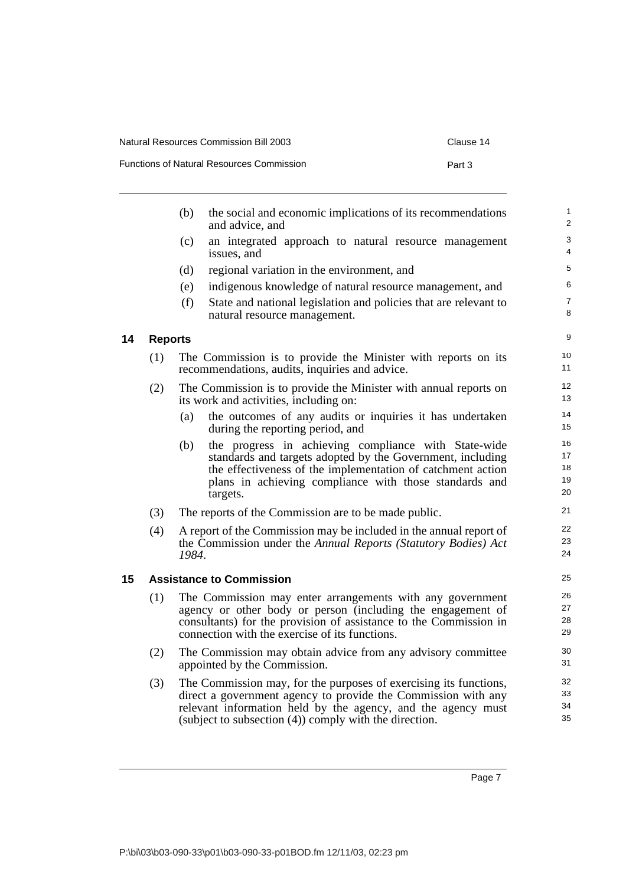Functions of Natural Resources Commission **Part 3** 

| :lause 14 |  |
|-----------|--|
|           |  |

<span id="page-12-1"></span><span id="page-12-0"></span>

|    |                | (b)   | the social and economic implications of its recommendations<br>and advice, and                                                                                                                                                                                  | 1<br>2                     |
|----|----------------|-------|-----------------------------------------------------------------------------------------------------------------------------------------------------------------------------------------------------------------------------------------------------------------|----------------------------|
|    |                | (c)   | an integrated approach to natural resource management<br>issues, and                                                                                                                                                                                            | 3<br>4                     |
|    |                | (d)   | regional variation in the environment, and                                                                                                                                                                                                                      | 5                          |
|    |                | (e)   | indigenous knowledge of natural resource management, and                                                                                                                                                                                                        | 6                          |
|    |                | (f)   | State and national legislation and policies that are relevant to<br>natural resource management.                                                                                                                                                                | $\overline{7}$<br>8        |
| 14 | <b>Reports</b> |       |                                                                                                                                                                                                                                                                 | 9                          |
|    | (1)            |       | The Commission is to provide the Minister with reports on its<br>recommendations, audits, inquiries and advice.                                                                                                                                                 | 10<br>11                   |
|    | (2)            |       | The Commission is to provide the Minister with annual reports on<br>its work and activities, including on:                                                                                                                                                      | 12<br>13                   |
|    |                | (a)   | the outcomes of any audits or inquiries it has undertaken<br>during the reporting period, and                                                                                                                                                                   | 14<br>15                   |
|    |                | (b)   | the progress in achieving compliance with State-wide<br>standards and targets adopted by the Government, including<br>the effectiveness of the implementation of catchment action<br>plans in achieving compliance with those standards and<br>targets.         | 16<br>17<br>18<br>19<br>20 |
|    | (3)            |       | The reports of the Commission are to be made public.                                                                                                                                                                                                            | 21                         |
|    | (4)            | 1984. | A report of the Commission may be included in the annual report of<br>the Commission under the Annual Reports (Statutory Bodies) Act                                                                                                                            | 22<br>23<br>24             |
| 15 |                |       | <b>Assistance to Commission</b>                                                                                                                                                                                                                                 | 25                         |
|    | (1)            |       | The Commission may enter arrangements with any government<br>agency or other body or person (including the engagement of<br>consultants) for the provision of assistance to the Commission in<br>connection with the exercise of its functions.                 | 26<br>27<br>28<br>29       |
|    | (2)            |       | The Commission may obtain advice from any advisory committee<br>appointed by the Commission.                                                                                                                                                                    | 30<br>31                   |
|    | (3)            |       | The Commission may, for the purposes of exercising its functions,<br>direct a government agency to provide the Commission with any<br>relevant information held by the agency, and the agency must<br>(subject to subsection $(4)$ ) comply with the direction. | 32<br>33<br>34<br>35       |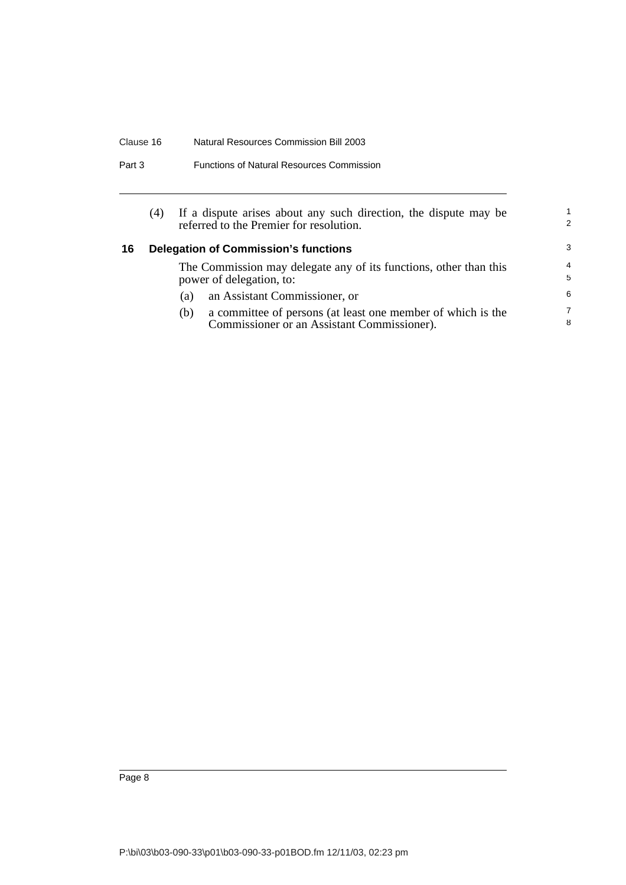### Clause 16 Natural Resources Commission Bill 2003

| <b>Functions of Natural Resources Commission</b> | Part 3 |  |  |  |
|--------------------------------------------------|--------|--|--|--|
|--------------------------------------------------|--------|--|--|--|

<span id="page-13-0"></span>

|    | (4) |     | If a dispute arises about any such direction, the dispute may be<br>referred to the Premier for resolution. | 2                   |
|----|-----|-----|-------------------------------------------------------------------------------------------------------------|---------------------|
| 16 |     |     | <b>Delegation of Commission's functions</b>                                                                 | -3                  |
|    |     |     | The Commission may delegate any of its functions, other than this<br>power of delegation, to:               | $\overline{4}$<br>5 |
|    |     | (a) | an Assistant Commissioner, or                                                                               | 6                   |
|    |     | (b) | a committee of persons (at least one member of which is the<br>Commissioner or an Assistant Commissioner).  | 7<br>8              |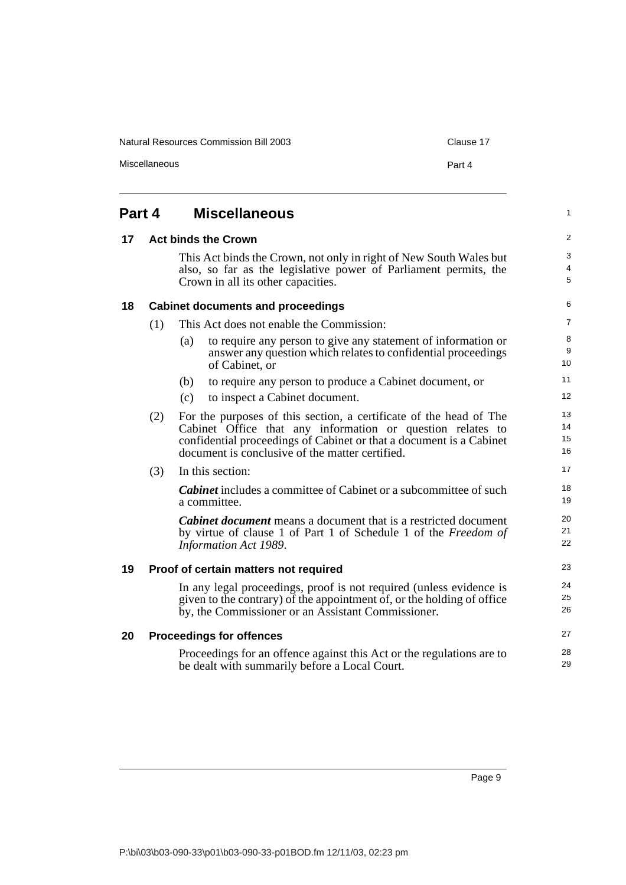Natural Resources Commission Bill 2003 Clause 17

Miscellaneous Part 4

#### <span id="page-14-4"></span><span id="page-14-3"></span><span id="page-14-2"></span><span id="page-14-1"></span><span id="page-14-0"></span>**Part 4 Miscellaneous 17 Act binds the Crown** This Act binds the Crown, not only in right of New South Wales but also, so far as the legislative power of Parliament permits, the Crown in all its other capacities. **18 Cabinet documents and proceedings** (1) This Act does not enable the Commission: (a) to require any person to give any statement of information or answer any question which relates to confidential proceedings of Cabinet, or (b) to require any person to produce a Cabinet document, or (c) to inspect a Cabinet document. (2) For the purposes of this section, a certificate of the head of The Cabinet Office that any information or question relates to confidential proceedings of Cabinet or that a document is a Cabinet document is conclusive of the matter certified. (3) In this section: *Cabinet* includes a committee of Cabinet or a subcommittee of such a committee. *Cabinet document* means a document that is a restricted document by virtue of clause 1 of Part 1 of Schedule 1 of the *Freedom of Information Act 1989*. **19 Proof of certain matters not required** In any legal proceedings, proof is not required (unless evidence is given to the contrary) of the appointment of, or the holding of office by, the Commissioner or an Assistant Commissioner. **20 Proceedings for offences** Proceedings for an offence against this Act or the regulations are to be dealt with summarily before a Local Court. 1 2 3 4 5 6 7 8 9 10 11 12 13 14 15 16 17 18 19 20 21 22 23 24 25 26 27 28 29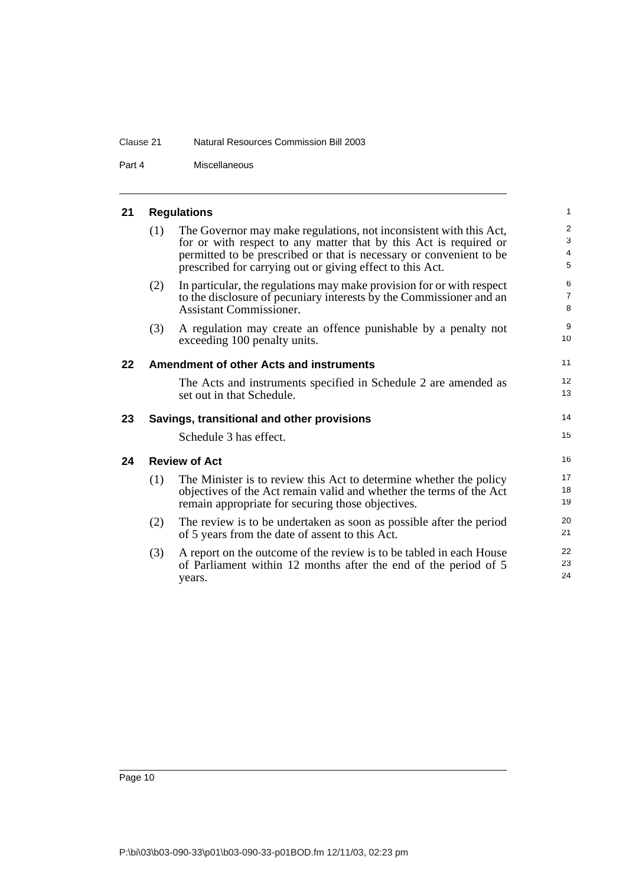### Clause 21 Natural Resources Commission Bill 2003

Part 4 Miscellaneous

# <span id="page-15-0"></span>**21 Regulations**

<span id="page-15-3"></span><span id="page-15-2"></span><span id="page-15-1"></span>

|    | (1)                  | The Governor may make regulations, not inconsistent with this Act,<br>for or with respect to any matter that by this Act is required or<br>permitted to be prescribed or that is necessary or convenient to be<br>prescribed for carrying out or giving effect to this Act. | $\mathbf{2}$<br>3<br>$\overline{4}$<br>5 |  |
|----|----------------------|-----------------------------------------------------------------------------------------------------------------------------------------------------------------------------------------------------------------------------------------------------------------------------|------------------------------------------|--|
|    | (2)                  | In particular, the regulations may make provision for or with respect<br>to the disclosure of pecuniary interests by the Commissioner and an<br><b>Assistant Commissioner.</b>                                                                                              | 6<br>$\overline{7}$<br>8                 |  |
|    | (3)                  | A regulation may create an offence punishable by a penalty not<br>exceeding 100 penalty units.                                                                                                                                                                              | 9<br>10                                  |  |
| 22 |                      | <b>Amendment of other Acts and instruments</b>                                                                                                                                                                                                                              | 11                                       |  |
|    |                      | The Acts and instruments specified in Schedule 2 are amended as<br>set out in that Schedule.                                                                                                                                                                                | 12<br>13                                 |  |
| 23 |                      | Savings, transitional and other provisions                                                                                                                                                                                                                                  | 14                                       |  |
|    |                      | Schedule 3 has effect.                                                                                                                                                                                                                                                      | 15                                       |  |
| 24 | <b>Review of Act</b> |                                                                                                                                                                                                                                                                             |                                          |  |
|    | (1)                  | The Minister is to review this Act to determine whether the policy<br>objectives of the Act remain valid and whether the terms of the Act<br>remain appropriate for securing those objectives.                                                                              | 17<br>18<br>19                           |  |
|    | (2)                  | The review is to be undertaken as soon as possible after the period<br>of 5 years from the date of assent to this Act.                                                                                                                                                      | 20<br>21                                 |  |
|    | (3)                  | A report on the outcome of the review is to be tabled in each House<br>of Parliament within 12 months after the end of the period of 5<br>years.                                                                                                                            | 22<br>23<br>24                           |  |
|    |                      |                                                                                                                                                                                                                                                                             |                                          |  |

1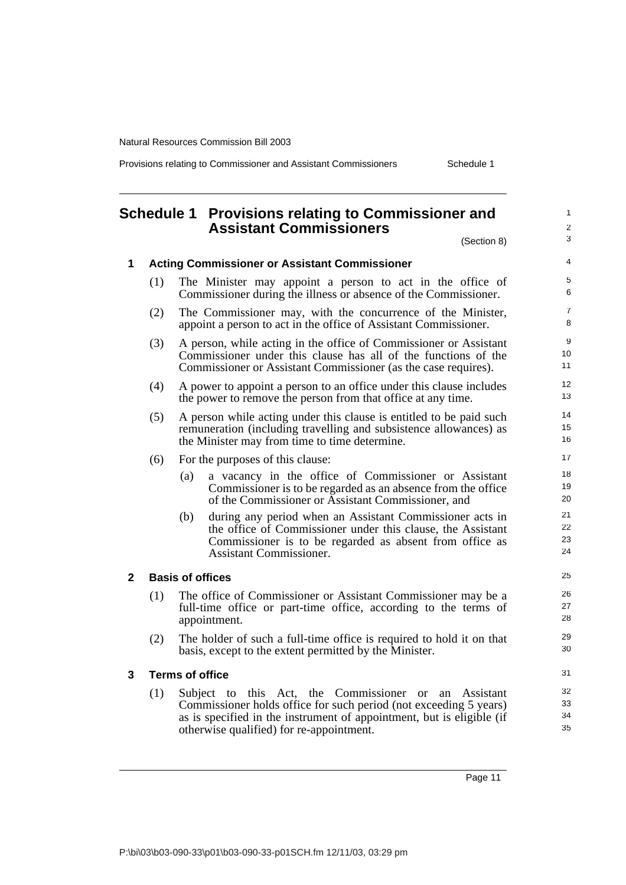Provisions relating to Commissioner and Assistant Commissioners Schedule 1

<span id="page-16-0"></span>

|              |     |                         | Schedule 1 Provisions relating to Commissioner and<br><b>Assistant Commissioners</b><br>(Section 8)                                                                                                                                                | $\mathbf{1}$<br>2<br>3 |
|--------------|-----|-------------------------|----------------------------------------------------------------------------------------------------------------------------------------------------------------------------------------------------------------------------------------------------|------------------------|
| $\mathbf 1$  |     |                         | <b>Acting Commissioner or Assistant Commissioner</b>                                                                                                                                                                                               | $\overline{4}$         |
|              | (1) |                         | The Minister may appoint a person to act in the office of<br>Commissioner during the illness or absence of the Commissioner.                                                                                                                       | 5<br>6                 |
|              | (2) |                         | The Commissioner may, with the concurrence of the Minister,<br>appoint a person to act in the office of Assistant Commissioner.                                                                                                                    | $\overline{7}$<br>8    |
|              | (3) |                         | A person, while acting in the office of Commissioner or Assistant<br>Commissioner under this clause has all of the functions of the<br>Commissioner or Assistant Commissioner (as the case requires).                                              | 9<br>10<br>11          |
|              | (4) |                         | A power to appoint a person to an office under this clause includes<br>the power to remove the person from that office at any time.                                                                                                                | 12<br>13               |
|              | (5) |                         | A person while acting under this clause is entitled to be paid such<br>remuneration (including travelling and subsistence allowances) as<br>the Minister may from time to time determine.                                                          | 14<br>15<br>16         |
|              | (6) |                         | For the purposes of this clause:                                                                                                                                                                                                                   | 17                     |
|              |     | (a)                     | a vacancy in the office of Commissioner or Assistant<br>Commissioner is to be regarded as an absence from the office<br>of the Commissioner or Assistant Commissioner, and                                                                         | 18<br>19<br>20         |
|              |     | (b)                     | during any period when an Assistant Commissioner acts in<br>the office of Commissioner under this clause, the Assistant<br>Commissioner is to be regarded as absent from office as<br><b>Assistant Commissioner.</b>                               | 21<br>22<br>23<br>24   |
| $\mathbf{2}$ |     | <b>Basis of offices</b> |                                                                                                                                                                                                                                                    | 25                     |
|              | (1) |                         | The office of Commissioner or Assistant Commissioner may be a<br>full-time office or part-time office, according to the terms of<br>appointment.                                                                                                   | 26<br>27<br>28         |
|              | (2) |                         | The holder of such a full-time office is required to hold it on that<br>basis, except to the extent permitted by the Minister.                                                                                                                     | 29<br>30               |
| 3            |     | <b>Terms of office</b>  |                                                                                                                                                                                                                                                    | 31                     |
|              | (1) |                         | Subject to this Act, the Commissioner or<br>an Assistant<br>Commissioner holds office for such period (not exceeding 5 years)<br>as is specified in the instrument of appointment, but is eligible (if<br>otherwise qualified) for re-appointment. | 32<br>33<br>34<br>35   |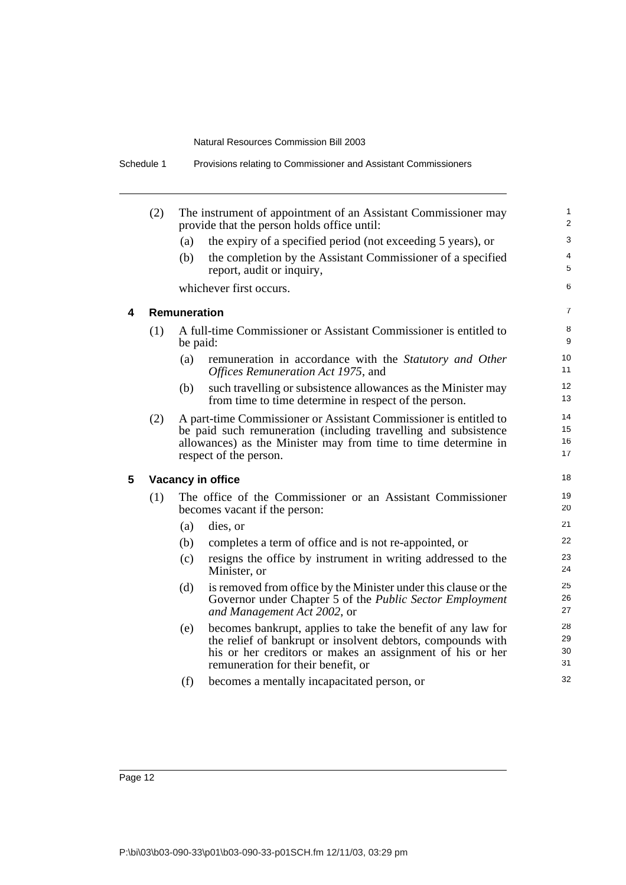| (2) |                     | The instrument of appointment of an Assistant Commissioner may<br>provide that the person holds office until:                                                                                                                    |
|-----|---------------------|----------------------------------------------------------------------------------------------------------------------------------------------------------------------------------------------------------------------------------|
|     | (a)                 | the expiry of a specified period (not exceeding 5 years), or                                                                                                                                                                     |
|     | (b)                 | the completion by the Assistant Commissioner of a specified<br>report, audit or inquiry,                                                                                                                                         |
|     |                     | whichever first occurs.                                                                                                                                                                                                          |
|     | <b>Remuneration</b> |                                                                                                                                                                                                                                  |
| (1) |                     | A full-time Commissioner or Assistant Commissioner is entitled to<br>be paid:                                                                                                                                                    |
|     | (a)                 | remuneration in accordance with the Statutory and Other<br>Offices Remuneration Act 1975, and                                                                                                                                    |
|     | (b)                 | such travelling or subsistence allowances as the Minister may<br>from time to time determine in respect of the person.                                                                                                           |
| (2) |                     | A part-time Commissioner or Assistant Commissioner is entitled to<br>be paid such remuneration (including travelling and subsistence<br>allowances) as the Minister may from time to time determine in<br>respect of the person. |
|     |                     | <b>Vacancy in office</b>                                                                                                                                                                                                         |
| (1) |                     | The office of the Commissioner or an Assistant Commissioner<br>becomes vacant if the person:                                                                                                                                     |
|     | (a)                 | dies, or                                                                                                                                                                                                                         |
|     | (b)                 | completes a term of office and is not re-appointed, or                                                                                                                                                                           |
|     | (c)                 | resigns the office by instrument in writing addressed to the<br>Minister, or                                                                                                                                                     |
|     | (d)                 | is removed from office by the Minister under this clause or the<br>Governor under Chapter 5 of the Public Sector Employment<br>and Management Act 2002, or                                                                       |
|     | (e)                 | becomes bankrupt, applies to take the benefit of any law for<br>the relief of bankrupt or insolvent debtors, compounds with<br>his or her creditors or makes an assignment of his or her<br>remuneration for their benefit, or   |
|     | (f)                 | becomes a mentally incapacitated person, or                                                                                                                                                                                      |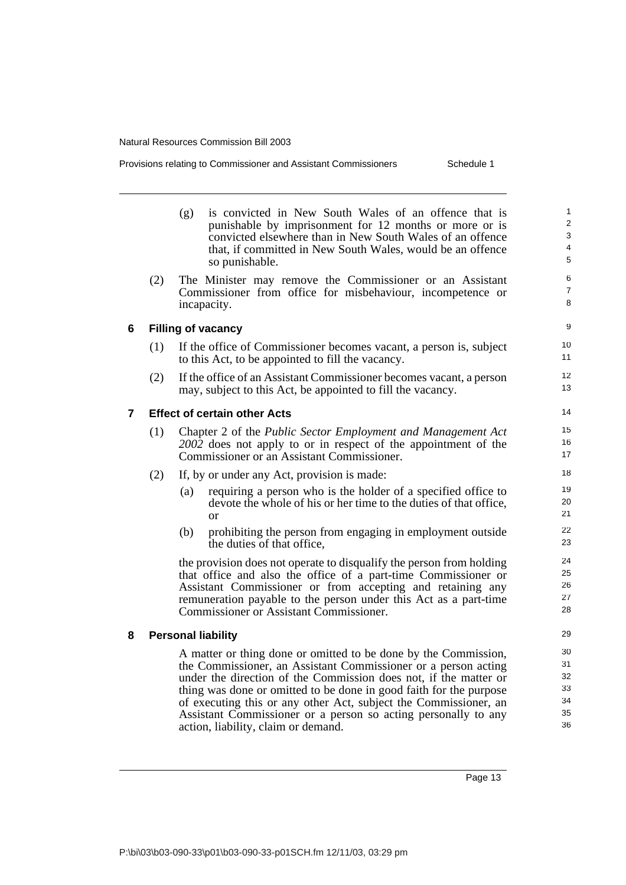| Provisions relating to Commissioner and Assistant Commissioners |  |  |
|-----------------------------------------------------------------|--|--|
|                                                                 |  |  |

Schedule 1

|   |     | (g)                                                                                                                                                                                                                                                                                                                 | is convicted in New South Wales of an offence that is<br>punishable by imprisonment for 12 months or more or is<br>convicted elsewhere than in New South Wales of an offence<br>that, if committed in New South Wales, would be an offence<br>so punishable.                                                                                                                                                                                             |  |
|---|-----|---------------------------------------------------------------------------------------------------------------------------------------------------------------------------------------------------------------------------------------------------------------------------------------------------------------------|----------------------------------------------------------------------------------------------------------------------------------------------------------------------------------------------------------------------------------------------------------------------------------------------------------------------------------------------------------------------------------------------------------------------------------------------------------|--|
|   | (2) | incapacity.                                                                                                                                                                                                                                                                                                         | The Minister may remove the Commissioner or an Assistant<br>Commissioner from office for misbehaviour, incompetence or                                                                                                                                                                                                                                                                                                                                   |  |
| 6 |     | <b>Filling of vacancy</b>                                                                                                                                                                                                                                                                                           |                                                                                                                                                                                                                                                                                                                                                                                                                                                          |  |
|   | (1) |                                                                                                                                                                                                                                                                                                                     | If the office of Commissioner becomes vacant, a person is, subject<br>to this Act, to be appointed to fill the vacancy.                                                                                                                                                                                                                                                                                                                                  |  |
|   | (2) |                                                                                                                                                                                                                                                                                                                     | If the office of an Assistant Commissioner becomes vacant, a person<br>may, subject to this Act, be appointed to fill the vacancy.                                                                                                                                                                                                                                                                                                                       |  |
| 7 |     |                                                                                                                                                                                                                                                                                                                     | <b>Effect of certain other Acts</b>                                                                                                                                                                                                                                                                                                                                                                                                                      |  |
|   | (1) |                                                                                                                                                                                                                                                                                                                     | Chapter 2 of the Public Sector Employment and Management Act<br>2002 does not apply to or in respect of the appointment of the<br>Commissioner or an Assistant Commissioner.                                                                                                                                                                                                                                                                             |  |
|   | (2) |                                                                                                                                                                                                                                                                                                                     | If, by or under any Act, provision is made:                                                                                                                                                                                                                                                                                                                                                                                                              |  |
|   |     | (a)                                                                                                                                                                                                                                                                                                                 | requiring a person who is the holder of a specified office to<br>devote the whole of his or her time to the duties of that office,<br>$\alpha$ r                                                                                                                                                                                                                                                                                                         |  |
|   |     | (b)                                                                                                                                                                                                                                                                                                                 | prohibiting the person from engaging in employment outside<br>the duties of that office.                                                                                                                                                                                                                                                                                                                                                                 |  |
|   |     | the provision does not operate to disqualify the person from holding<br>that office and also the office of a part-time Commissioner or<br>Assistant Commissioner or from accepting and retaining any<br>remuneration payable to the person under this Act as a part-time<br>Commissioner or Assistant Commissioner. |                                                                                                                                                                                                                                                                                                                                                                                                                                                          |  |
| 8 |     | <b>Personal liability</b>                                                                                                                                                                                                                                                                                           |                                                                                                                                                                                                                                                                                                                                                                                                                                                          |  |
|   |     |                                                                                                                                                                                                                                                                                                                     | A matter or thing done or omitted to be done by the Commission,<br>the Commissioner, an Assistant Commissioner or a person acting<br>under the direction of the Commission does not, if the matter or<br>thing was done or omitted to be done in good faith for the purpose<br>of executing this or any other Act, subject the Commissioner, an<br>Assistant Commissioner or a person so acting personally to any<br>action, liability, claim or demand. |  |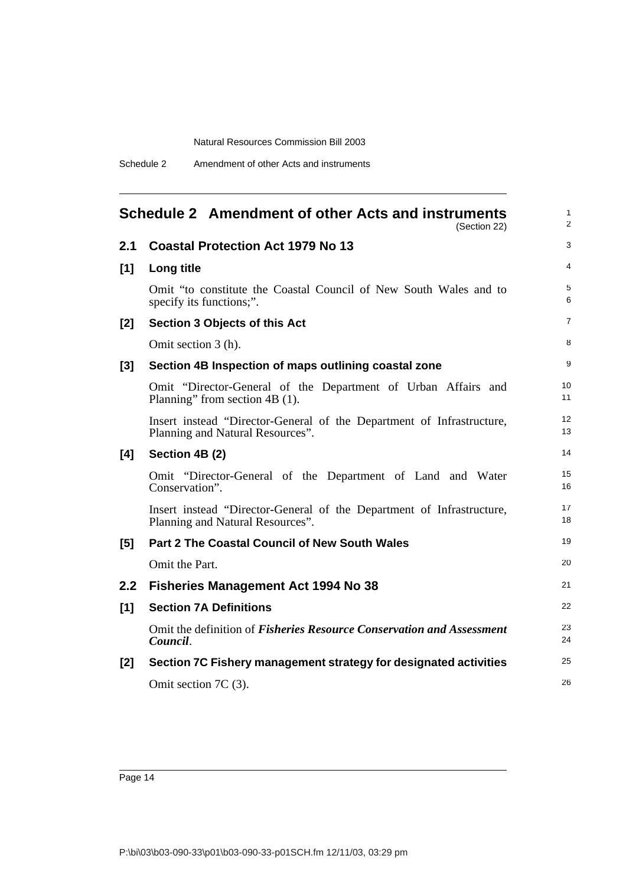<span id="page-19-0"></span>

|       | Schedule 2 Amendment of other Acts and instruments<br>(Section 22)                                        | $\mathbf{1}$<br>$\overline{2}$ |
|-------|-----------------------------------------------------------------------------------------------------------|--------------------------------|
| 2.1   | <b>Coastal Protection Act 1979 No 13</b>                                                                  | 3                              |
| $[1]$ | Long title                                                                                                | 4                              |
|       | Omit "to constitute the Coastal Council of New South Wales and to<br>specify its functions;".             | 5<br>6                         |
| [2]   | <b>Section 3 Objects of this Act</b>                                                                      | $\overline{7}$                 |
|       | Omit section 3 (h).                                                                                       | 8                              |
| $[3]$ | Section 4B Inspection of maps outlining coastal zone                                                      | 9                              |
|       | Omit "Director-General of the Department of Urban Affairs and<br>Planning" from section 4B (1).           | 10<br>11                       |
|       | Insert instead "Director-General of the Department of Infrastructure,<br>Planning and Natural Resources". | 12<br>13                       |
| [4]   | Section 4B (2)                                                                                            | 14                             |
|       | Omit "Director-General of the Department of Land and Water<br>Conservation".                              | 15<br>16                       |
|       | Insert instead "Director-General of the Department of Infrastructure,<br>Planning and Natural Resources". | 17<br>18                       |
| [5]   | <b>Part 2 The Coastal Council of New South Wales</b>                                                      | 19                             |
|       | Omit the Part.                                                                                            | 20                             |
| 2.2   | <b>Fisheries Management Act 1994 No 38</b>                                                                | 21                             |
| $[1]$ | <b>Section 7A Definitions</b>                                                                             | 22                             |
|       | Omit the definition of <i>Fisheries Resource Conservation and Assessment</i><br>Council.                  | 23<br>24                       |
| $[2]$ | Section 7C Fishery management strategy for designated activities                                          | 25                             |
|       | Omit section 7C (3).                                                                                      | 26                             |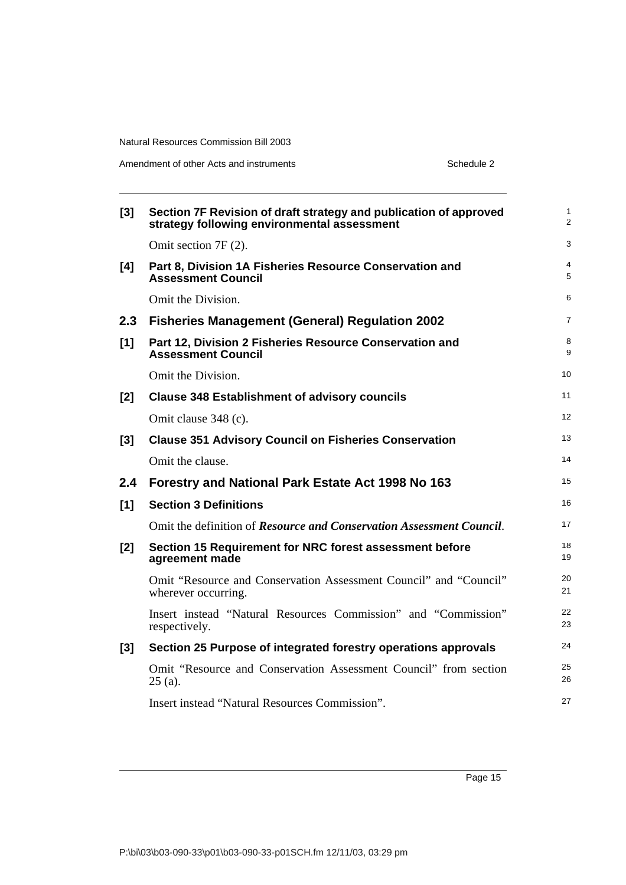| $[3]$ | Section 7F Revision of draft strategy and publication of approved<br>strategy following environmental assessment | 1<br>$\overline{2}$ |
|-------|------------------------------------------------------------------------------------------------------------------|---------------------|
|       | Omit section 7F (2).                                                                                             | 3                   |
| [4]   | Part 8, Division 1A Fisheries Resource Conservation and<br><b>Assessment Council</b>                             | 4<br>5              |
|       | Omit the Division.                                                                                               | 6                   |
| 2.3   | <b>Fisheries Management (General) Regulation 2002</b>                                                            | 7                   |
| [1]   | Part 12, Division 2 Fisheries Resource Conservation and<br><b>Assessment Council</b>                             | 8<br>9              |
|       | Omit the Division.                                                                                               | 10                  |
| [2]   | <b>Clause 348 Establishment of advisory councils</b>                                                             | 11                  |
|       | Omit clause 348 (c).                                                                                             | 12                  |
| [3]   | <b>Clause 351 Advisory Council on Fisheries Conservation</b>                                                     | 13                  |
|       | Omit the clause.                                                                                                 | 14                  |
| 2.4   | Forestry and National Park Estate Act 1998 No 163                                                                | 15                  |
| [1]   | <b>Section 3 Definitions</b>                                                                                     | 16                  |
|       | Omit the definition of Resource and Conservation Assessment Council.                                             | 17                  |
| [2]   | Section 15 Requirement for NRC forest assessment before<br>agreement made                                        | 18<br>19            |
|       | Omit "Resource and Conservation Assessment Council" and "Council"<br>wherever occurring.                         | 20<br>21            |
|       | Insert instead "Natural Resources Commission" and "Commission"<br>respectively.                                  | 22<br>23            |
| [3]   | Section 25 Purpose of integrated forestry operations approvals                                                   | 24                  |
|       | Omit "Resource and Conservation Assessment Council" from section<br>$25$ (a).                                    | 25<br>26            |
|       | Insert instead "Natural Resources Commission".                                                                   | 27                  |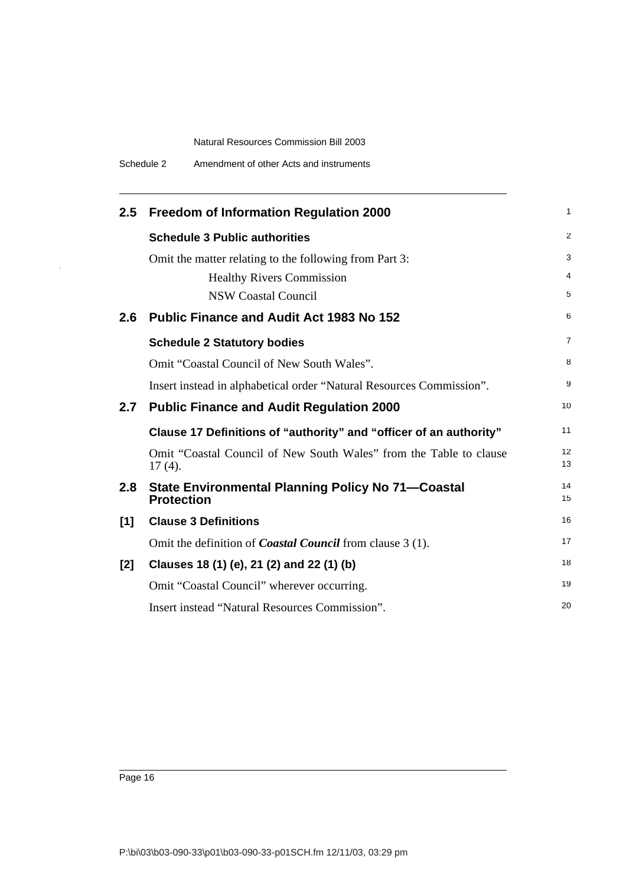| $2.5^{\circ}$ | <b>Freedom of Information Regulation 2000</b>                                   | 1              |
|---------------|---------------------------------------------------------------------------------|----------------|
|               | <b>Schedule 3 Public authorities</b>                                            | $\overline{2}$ |
|               | Omit the matter relating to the following from Part 3:                          | 3              |
|               | <b>Healthy Rivers Commission</b>                                                | 4              |
|               | <b>NSW Coastal Council</b>                                                      | 5              |
| 2.6           | <b>Public Finance and Audit Act 1983 No 152</b>                                 | 6              |
|               | <b>Schedule 2 Statutory bodies</b>                                              | 7              |
|               | Omit "Coastal Council of New South Wales".                                      | 8              |
|               | Insert instead in alphabetical order "Natural Resources Commission".            | 9              |
| 2.7           | <b>Public Finance and Audit Regulation 2000</b>                                 | 10             |
|               | Clause 17 Definitions of "authority" and "officer of an authority"              | 11             |
|               | Omit "Coastal Council of New South Wales" from the Table to clause<br>$17(4)$ . | 12<br>13       |
| 2.8           | <b>State Environmental Planning Policy No 71–Coastal</b><br><b>Protection</b>   | 14<br>15       |
| [1]           | <b>Clause 3 Definitions</b>                                                     | 16             |
|               | Omit the definition of <i>Coastal Council</i> from clause 3 (1).                | 17             |
| [2]           | Clauses 18 (1) (e), 21 (2) and 22 (1) (b)                                       | 18             |
|               | Omit "Coastal Council" wherever occurring.                                      | 19             |
|               | Insert instead "Natural Resources Commission".                                  | 20             |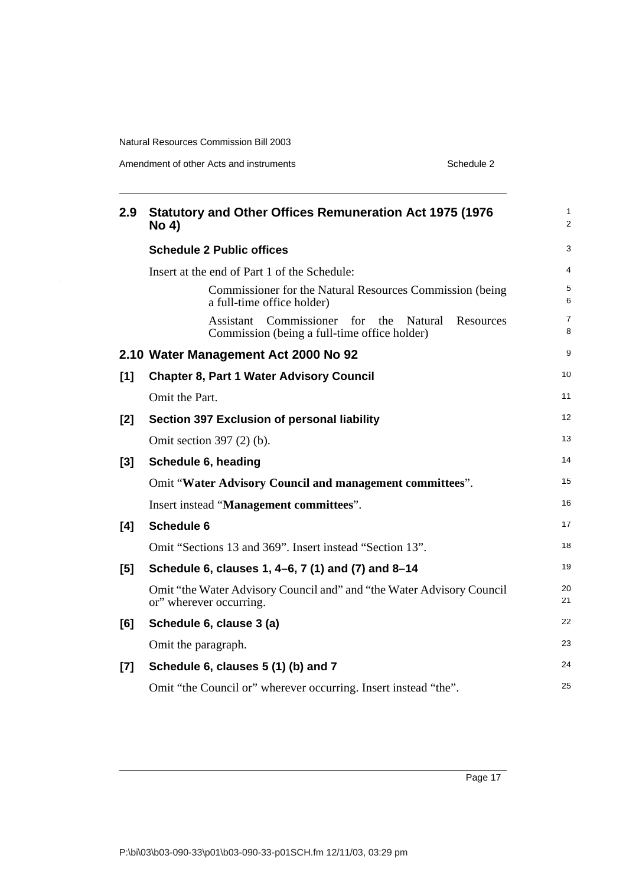$\ddot{\phantom{1}}$ 

Amendment of other Acts and instruments Schedule 2

| 2.9   | <b>Statutory and Other Offices Remuneration Act 1975 (1976</b><br><b>No 4)</b>                                      | 1<br>$\overline{2}$ |
|-------|---------------------------------------------------------------------------------------------------------------------|---------------------|
|       | <b>Schedule 2 Public offices</b>                                                                                    | 3                   |
|       | Insert at the end of Part 1 of the Schedule:                                                                        | 4                   |
|       | Commissioner for the Natural Resources Commission (being)<br>a full-time office holder)                             | 5<br>6              |
|       | Commissioner for<br>Assistant<br>the<br><b>Natural</b><br>Resources<br>Commission (being a full-time office holder) | $\overline{7}$<br>8 |
|       | 2.10 Water Management Act 2000 No 92                                                                                | 9                   |
| [1]   | <b>Chapter 8, Part 1 Water Advisory Council</b>                                                                     | 10                  |
|       | Omit the Part.                                                                                                      | 11                  |
| $[2]$ | Section 397 Exclusion of personal liability                                                                         | 12                  |
|       | Omit section 397 (2) (b).                                                                                           | 13                  |
| [3]   | Schedule 6, heading                                                                                                 | 14                  |
|       | Omit "Water Advisory Council and management committees".                                                            | 15                  |
|       | Insert instead "Management committees".                                                                             | 16                  |
| [4]   | <b>Schedule 6</b>                                                                                                   | 17                  |
|       | Omit "Sections 13 and 369". Insert instead "Section 13".                                                            | 18                  |
| [5]   | Schedule 6, clauses 1, 4–6, 7 (1) and (7) and 8–14                                                                  | 19                  |
|       | Omit "the Water Advisory Council and" and "the Water Advisory Council<br>or" wherever occurring.                    | 20<br>21            |
| [6]   | Schedule 6, clause 3 (a)                                                                                            | 22                  |
|       | Omit the paragraph.                                                                                                 | 23                  |
| $[7]$ | Schedule 6, clauses 5 (1) (b) and 7                                                                                 | 24                  |
|       | Omit "the Council or" wherever occurring. Insert instead "the".                                                     | 25                  |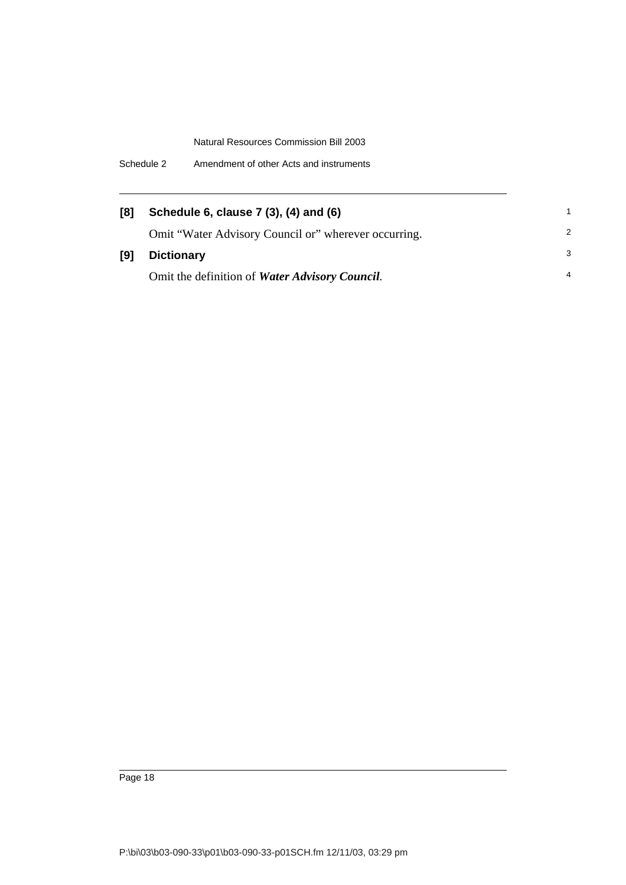| [8] | Schedule 6, clause 7 (3), (4) and (6)                |                |
|-----|------------------------------------------------------|----------------|
|     | Omit "Water Advisory Council or" wherever occurring. | $\mathcal{P}$  |
| [9] | <b>Dictionary</b>                                    | 3              |
|     | Omit the definition of Water Advisory Council.       | $\overline{4}$ |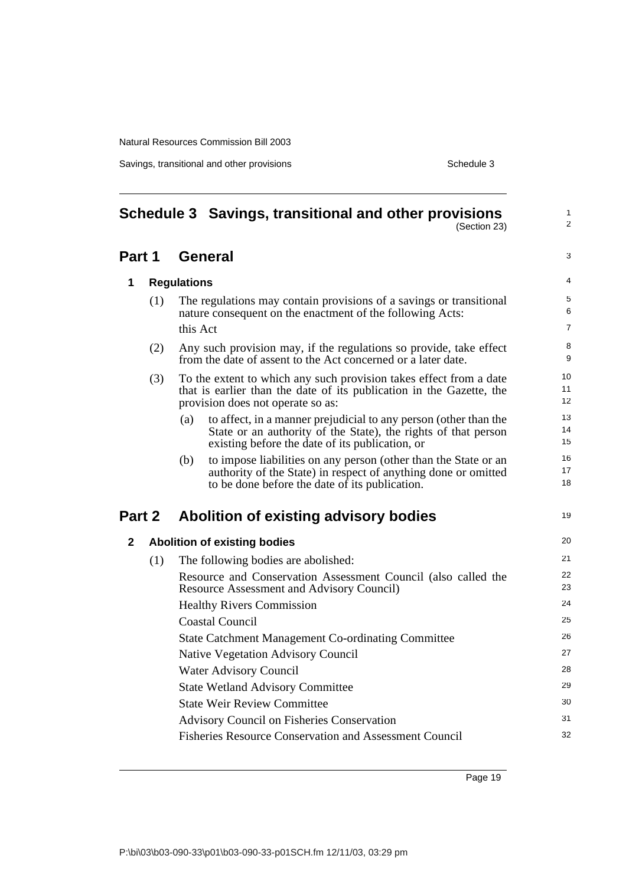Savings, transitional and other provisions Schedule 3

<span id="page-24-0"></span>

|              | Schedule 3 Savings, transitional and other provisions<br>(Section 23)                                                                                                                        | $\mathbf{1}$<br>2        |
|--------------|----------------------------------------------------------------------------------------------------------------------------------------------------------------------------------------------|--------------------------|
| Part 1       | <b>General</b>                                                                                                                                                                               | 3                        |
| 1            | <b>Regulations</b>                                                                                                                                                                           | 4                        |
| (1)          | The regulations may contain provisions of a savings or transitional<br>nature consequent on the enactment of the following Acts:<br>this Act                                                 | 5<br>6<br>$\overline{7}$ |
| (2)          | Any such provision may, if the regulations so provide, take effect<br>from the date of assent to the Act concerned or a later date.                                                          | 8<br>9                   |
| (3)          | To the extent to which any such provision takes effect from a date<br>that is earlier than the date of its publication in the Gazette, the<br>provision does not operate so as:              | 10<br>11<br>12           |
|              | to affect, in a manner prejudicial to any person (other than the<br>(a)<br>State or an authority of the State), the rights of that person<br>existing before the date of its publication, or | 13<br>14<br>15           |
|              | to impose liabilities on any person (other than the State or an<br>(b)<br>authority of the State) in respect of anything done or omitted<br>to be done before the date of its publication.   | 16<br>17<br>18           |
| Part 2       | Abolition of existing advisory bodies                                                                                                                                                        | 19                       |
| $\mathbf{2}$ | <b>Abolition of existing bodies</b>                                                                                                                                                          | 20                       |
| (1)          | The following bodies are abolished:                                                                                                                                                          | 21                       |
|              | Resource and Conservation Assessment Council (also called the<br><b>Resource Assessment and Advisory Council)</b>                                                                            | 22<br>23                 |
|              | <b>Healthy Rivers Commission</b>                                                                                                                                                             | 24                       |
|              | Coastal Council                                                                                                                                                                              | 25                       |
|              | <b>State Catchment Management Co-ordinating Committee</b>                                                                                                                                    | 26                       |
|              | <b>Native Vegetation Advisory Council</b>                                                                                                                                                    | 27                       |
|              | Water Advisory Council                                                                                                                                                                       | 28                       |
|              | <b>State Wetland Advisory Committee</b>                                                                                                                                                      | 29                       |
|              | <b>State Weir Review Committee</b>                                                                                                                                                           | 30                       |
|              | <b>Advisory Council on Fisheries Conservation</b>                                                                                                                                            | 31                       |
|              | Fisheries Resource Conservation and Assessment Council                                                                                                                                       | 32                       |